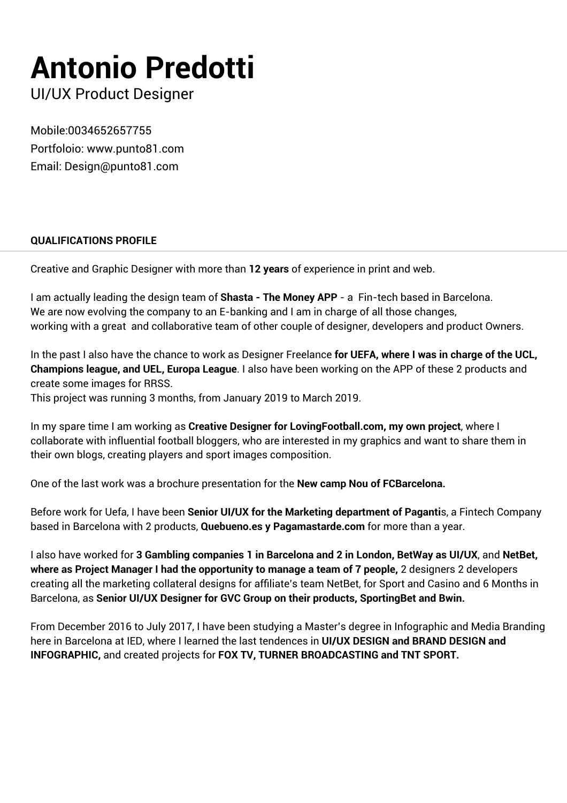# **Antonio Predotti**

UI/UX Product Designer

Mobile:0034652657755 Portfoloio: www.punto81.com Email: Design@punto81.com

## **QUALIFICATIONS PROFILE**

Creative and Graphic Designer with more than **12 years** of experience in print and web.

I am actually leading the design team of **Shasta - The Money APP** - a Fin-tech based in Barcelona. We are now evolving the company to an E-banking and I am in charge of all those changes, working with a great and collaborative team of other couple of designer, developers and product Owners.

In the past I also have the chance to work as Designer Freelance **for UEFA, where I was in charge of the UCL, Champions league, and UEL, Europa League**. I also have been working on the APP of these 2 products and create some images for RRSS.

This project was running 3 months, from January 2019 to March 2019.

In my spare time I am working as **Creative Designer for LovingFootball.com, my own project**, where I collaborate with influential football bloggers, who are interested in my graphics and want to share them in their own blogs, creating players and sport images composition.

One of the last work was a brochure presentation for the **New camp Nou of FCBarcelona.**

Before work for Uefa, I have been **Senior UI/UX for the Marketing department of Paganti**s, a Fintech Company based in Barcelona with 2 products, **Quebueno.es y Pagamastarde.com** for more than a year.

I also have worked for **3 Gambling companies 1 in Barcelona and 2 in London, BetWay as UI/UX**, and **NetBet, where as Project Manager I had the opportunity to manage a team of 7 people,** 2 designers 2 developers creating all the marketing collateral designs for affiliate's team NetBet, for Sport and Casino and 6 Months in Barcelona, as **Senior UI/UX Designer for GVC Group on their products, SportingBet and Bwin.**

From December 2016 to July 2017, I have been studying a Master's degree in Infographic and Media Branding here in Barcelona at IED, where I learned the last tendences in **UI/UX DESIGN and BRAND DESIGN and INFOGRAPHIC,** and created projects for **FOX TV, TURNER BROADCASTING and TNT SPORT.**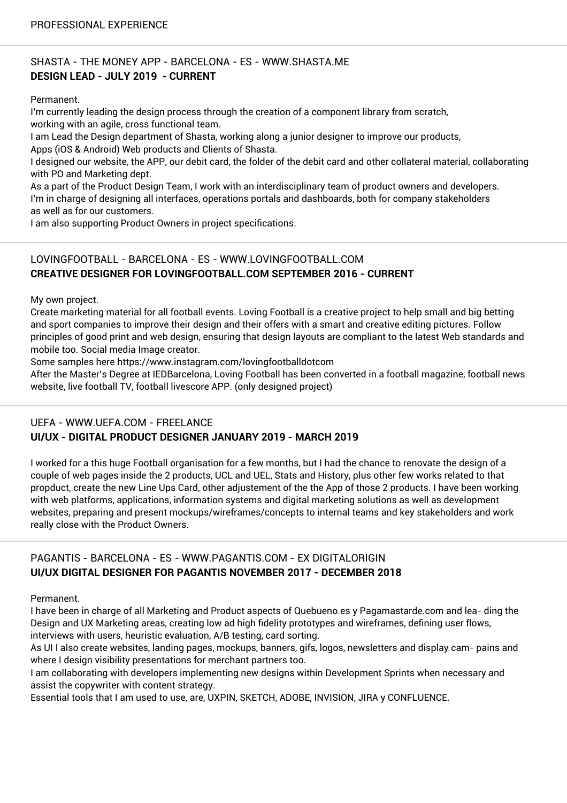## SHASTA - THE MONEY APP - BARCELONA - ES - WWW.SHASTA.ME **DESIGN LEAD - JULY 2019 - CURRENT**

Permanent.

I'm currently leading the design process through the creation of a component library from scratch, working with an agile, cross functional team.

I am Lead the Design department of Shasta, working along a junior designer to improve our products, Apps (iOS & Android) Web products and Clients of Shasta.

I designed our website, the APP, our debit card, the folder of the debit card and other collateral material, collaborating with PO and Marketing dept.

As a part of the Product Design Team, I work with an interdisciplinary team of product owners and developers. I'm in charge of designing all interfaces, operations portals and dashboards, both for company stakeholders as well as for our customers.

I am also supporting Product Owners in project specifications.

## LOVINGFOOTBALL - BARCELONA - ES - WWW.LOVINGFOOTBALL.COM **CREATIVE DESIGNER FOR LOVINGFOOTBALL.COM SEPTEMBER 2016 - CURRENT**

My own project.

Create marketing material for all football events. Loving Football is a creative project to help small and big betting and sport companies to improve their design and their offers with a smart and creative editing pictures. Follow principles of good print and web design, ensuring that design layouts are compliant to the latest Web standards and mobile too. Social media Image creator.

Some samples here https://www.instagram.com/lovingfootballdotcom

After the Master's Degree at IEDBarcelona, Loving Football has been converted in a football magazine, football news website, live football TV, football livescore APP. (only designed project)

#### UEFA - WWW.UEFA.COM - FREELANCE **UI/UX - DIGITAL PRODUCT DESIGNER JANUARY 2019 - MARCH 2019**

I worked for a this huge Football organisation for a few months, but I had the chance to renovate the design of a couple of web pages inside the 2 products, UCL and UEL, Stats and History, plus other few works related to that propduct, create the new Line Ups Card, other adjustement of the the App of those 2 products. I have been working with web platforms, applications, information systems and digital marketing solutions as well as development websites, preparing and present mockups/wireframes/concepts to internal teams and key stakeholders and work really close with the Product Owners.

## PAGANTIS - BARCELONA - ES - WWW.PAGANTIS.COM - EX DIGITALORIGIN **UI/UX DIGITAL DESIGNER FOR PAGANTIS NOVEMBER 2017 - DECEMBER 2018**

Permanent.

I have been in charge of all Marketing and Product aspects of Quebueno.es y Pagamastarde.com and lea- ding the Design and UX Marketing areas, creating low ad high fidelity prototypes and wireframes, defining user flows, interviews with users, heuristic evaluation, A/B testing, card sorting.

As UI I also create websites, landing pages, mockups, banners, gifs, logos, newsletters and display cam- pains and where I design visibility presentations for merchant partners too.

I am collaborating with developers implementing new designs within Development Sprints when necessary and assist the copywriter with content strategy.

Essential tools that I am used to use, are, UXPIN, SKETCH, ADOBE, INVISION, JIRA y CONFLUENCE.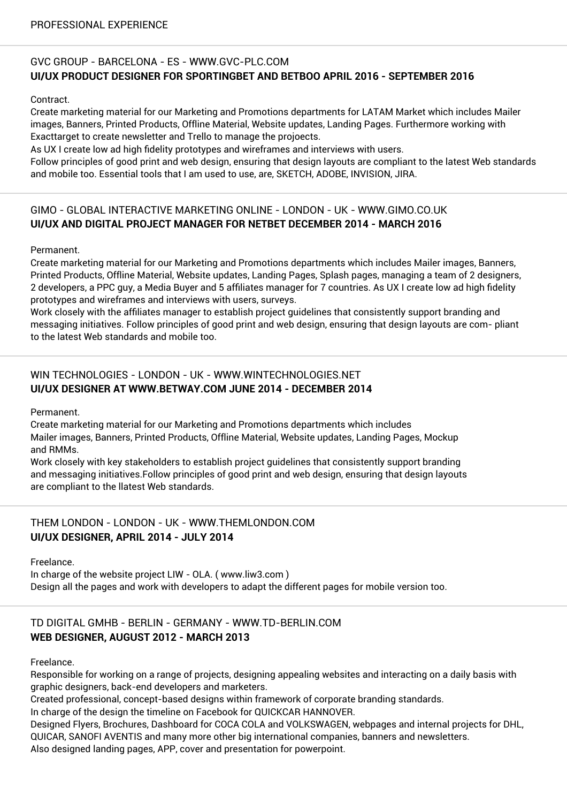## GVC GROUP - BARCELONA - ES - WWW.GVC-PLC.COM **UI/UX PRODUCT DESIGNER FOR SPORTINGBET AND BETBOO APRIL 2016 - SEPTEMBER 2016**

Contract.

Create marketing material for our Marketing and Promotions departments for LATAM Market which includes Mailer images, Banners, Printed Products, Offline Material, Website updates, Landing Pages. Furthermore working with Exacttarget to create newsletter and Trello to manage the projoects.

As UX I create low ad high fidelity prototypes and wireframes and interviews with users.

Follow principles of good print and web design, ensuring that design layouts are compliant to the latest Web standards and mobile too. Essential tools that I am used to use, are, SKETCH, ADOBE, INVISION, JIRA.

## GIMO - GLOBAL INTERACTIVE MARKETING ONLINE - LONDON - UK - WWW.GIMO.CO.UK **UI/UX AND DIGITAL PROJECT MANAGER FOR NETBET DECEMBER 2014 - MARCH 2016**

Permanent.

Create marketing material for our Marketing and Promotions departments which includes Mailer images, Banners, Printed Products, Offline Material, Website updates, Landing Pages, Splash pages, managing a team of 2 designers, 2 developers, a PPC guy, a Media Buyer and 5 affiliates manager for 7 countries. As UX I create low ad high fidelity prototypes and wireframes and interviews with users, surveys.

Work closely with the affiliates manager to establish project guidelines that consistently support branding and messaging initiatives. Follow principles of good print and web design, ensuring that design layouts are com- pliant to the latest Web standards and mobile too.

## WIN TECHNOLOGIES - LONDON - UK - WWW.WINTECHNOLOGIES.NET **UI/UX DESIGNER AT WWW.BETWAY.COM JUNE 2014 - DECEMBER 2014**

Permanent.

Create marketing material for our Marketing and Promotions departments which includes Mailer images, Banners, Printed Products, Offline Material, Website updates, Landing Pages, Mockup and RMMs.

Work closely with key stakeholders to establish project guidelines that consistently support branding and messaging initiatives.Follow principles of good print and web design, ensuring that design layouts are compliant to the llatest Web standards.

THEM LONDON - LONDON - UK - WWW.THEMLONDON.COM **UI/UX DESIGNER, APRIL 2014 - JULY 2014**

Freelance.

In charge of the website project LIW - OLA. ( www.liw3.com ) Design all the pages and work with developers to adapt the different pages for mobile version too.

## TD DIGITAL GMHB - BERLIN - GERMANY - WWW.TD-BERLIN.COM **WEB DESIGNER, AUGUST 2012 - MARCH 2013**

Freelance.

Responsible for working on a range of projects, designing appealing websites and interacting on a daily basis with graphic designers, back-end developers and marketers.

Created professional, concept-based designs within framework of corporate branding standards.

In charge of the design the timeline on Facebook for QUICKCAR HANNOVER.

Designed Flyers, Brochures, Dashboard for COCA COLA and VOLKSWAGEN, webpages and internal projects for DHL, QUICAR, SANOFI AVENTIS and many more other big international companies, banners and newsletters. Also designed landing pages, APP, cover and presentation for powerpoint.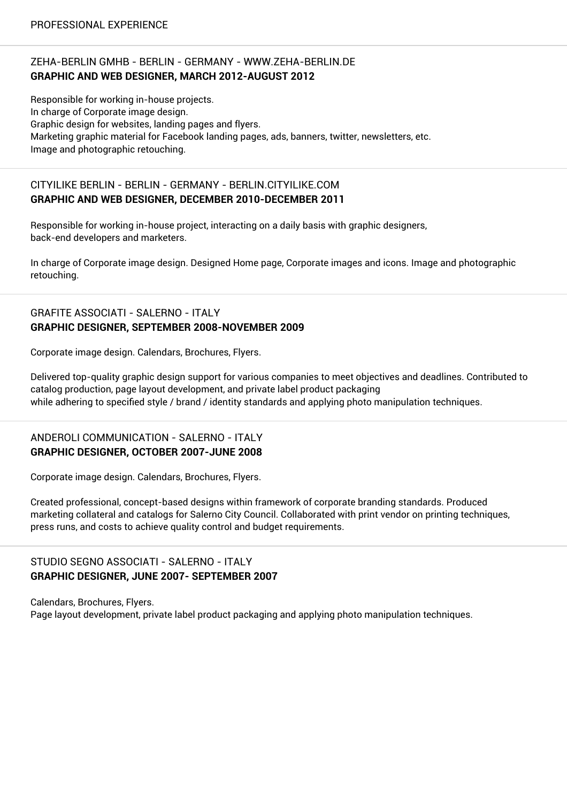### ZEHA-BERLIN GMHB - BERLIN - GERMANY - WWW.ZEHA-BERLIN.DE **GRAPHIC AND WEB DESIGNER, MARCH 2012-AUGUST 2012**

Responsible for working in-house projects. In charge of Corporate image design. Graphic design for websites, landing pages and flyers. Marketing graphic material for Facebook landing pages, ads, banners, twitter, newsletters, etc. Image and photographic retouching.

#### CITYILIKE BERLIN - BERLIN - GERMANY - BERLIN.CITYILIKE.COM **GRAPHIC AND WEB DESIGNER, DECEMBER 2010-DECEMBER 2011**

Responsible for working in-house project, interacting on a daily basis with graphic designers, back-end developers and marketers.

In charge of Corporate image design. Designed Home page, Corporate images and icons. Image and photographic retouching.

## GRAFITE ASSOCIATI - SALERNO - ITALY **GRAPHIC DESIGNER, SEPTEMBER 2008-NOVEMBER 2009**

Corporate image design. Calendars, Brochures, Flyers.

Delivered top-quality graphic design support for various companies to meet objectives and deadlines. Contributed to catalog production, page layout development, and private label product packaging while adhering to specified style / brand / identity standards and applying photo manipulation techniques.

#### ANDEROLI COMMUNICATION - SALERNO - ITALY **GRAPHIC DESIGNER, OCTOBER 2007-JUNE 2008**

Corporate image design. Calendars, Brochures, Flyers.

Created professional, concept-based designs within framework of corporate branding standards. Produced marketing collateral and catalogs for Salerno City Council. Collaborated with print vendor on printing techniques, press runs, and costs to achieve quality control and budget requirements.

#### STUDIO SEGNO ASSOCIATI - SALERNO - ITALY **GRAPHIC DESIGNER, JUNE 2007- SEPTEMBER 2007**

Calendars, Brochures, Flyers. Page layout development, private label product packaging and applying photo manipulation techniques.